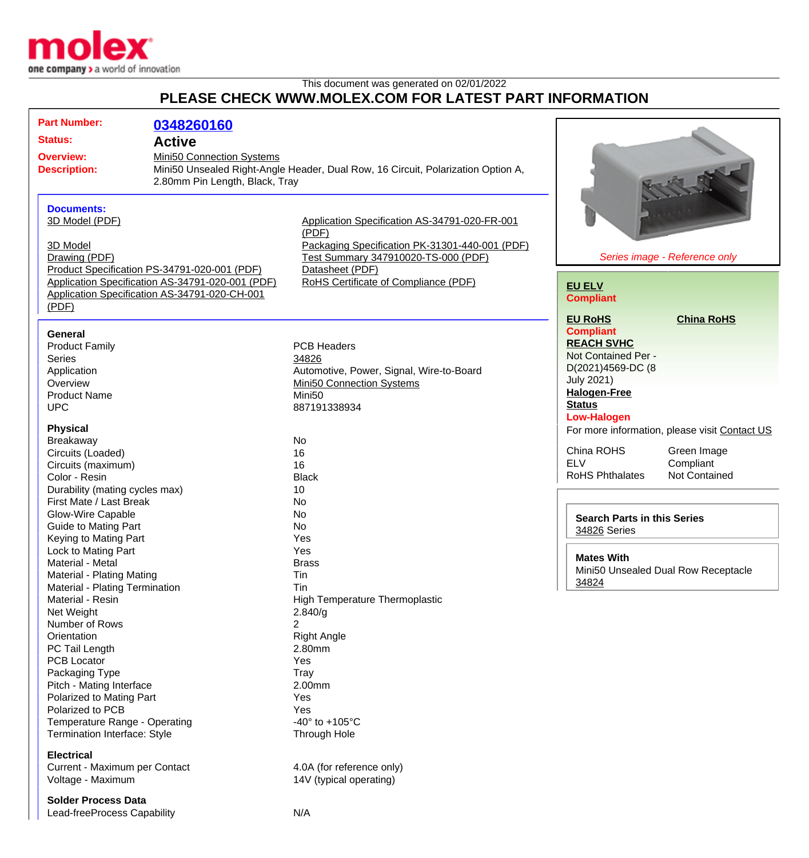

## This document was generated on 02/01/2022 **PLEASE CHECK WWW.MOLEX.COM FOR LATEST PART INFORMATION**

| <b>Part Number:</b><br><b>Status:</b><br><b>Overview:</b><br><b>Description:</b>                                                                                                    | 0348260160<br><b>Active</b><br>Mini50 Connection Systems<br>2.80mm Pin Length, Black, Tray                                                        | Mini50 Unsealed Right-Angle Header, Dual Row, 16 Circuit, Polarization Option A,                                                                                                                           |                                                                                                                                                                                                             |
|-------------------------------------------------------------------------------------------------------------------------------------------------------------------------------------|---------------------------------------------------------------------------------------------------------------------------------------------------|------------------------------------------------------------------------------------------------------------------------------------------------------------------------------------------------------------|-------------------------------------------------------------------------------------------------------------------------------------------------------------------------------------------------------------|
| <b>Documents:</b><br>3D Model (PDF)<br>3D Model<br>Drawing (PDF)<br>(PDF)                                                                                                           | Product Specification PS-34791-020-001 (PDF)<br>Application Specification AS-34791-020-001 (PDF)<br>Application Specification AS-34791-020-CH-001 | Application Specification AS-34791-020-FR-001<br>(PDF)<br>Packaging Specification PK-31301-440-001 (PDF)<br>Test Summary 347910020-TS-000 (PDF)<br>Datasheet (PDF)<br>RoHS Certificate of Compliance (PDF) | Series image - Reference only<br><b>EU ELV</b><br><b>Compliant</b>                                                                                                                                          |
| <b>General</b><br><b>Product Family</b><br><b>Series</b><br>Application<br>Overview<br><b>Product Name</b><br><b>UPC</b>                                                            |                                                                                                                                                   | <b>PCB Headers</b><br>34826<br>Automotive, Power, Signal, Wire-to-Board<br>Mini50 Connection Systems<br>Mini <sub>50</sub><br>887191338934                                                                 | <b>EU RoHS</b><br><b>China RoHS</b><br><b>Compliant</b><br><b>REACH SVHC</b><br>Not Contained Per -<br>D(2021)4569-DC (8<br><b>July 2021)</b><br><b>Halogen-Free</b><br><b>Status</b><br><b>Low-Halogen</b> |
| <b>Physical</b><br>Breakaway<br>Circuits (Loaded)<br>Circuits (maximum)<br>Color - Resin<br>Durability (mating cycles max)<br>First Mate / Last Break                               |                                                                                                                                                   | No<br>16<br>16<br><b>Black</b><br>10<br>No                                                                                                                                                                 | For more information, please visit Contact US<br>China ROHS<br>Green Image<br><b>ELV</b><br>Compliant<br><b>RoHS Phthalates</b><br>Not Contained                                                            |
| Glow-Wire Capable<br><b>Guide to Mating Part</b><br>Keying to Mating Part<br>Lock to Mating Part<br>Material - Metal<br>Material - Plating Mating<br>Material - Plating Termination |                                                                                                                                                   | No<br>No<br>Yes<br>Yes<br><b>Brass</b><br>Tin<br>Tin                                                                                                                                                       | <b>Search Parts in this Series</b><br>34826 Series<br><b>Mates With</b><br>Mini50 Unsealed Dual Row Receptacle<br>34824                                                                                     |
| Material - Resin<br>Net Weight<br>Number of Rows<br>Orientation<br>PC Tail Length<br><b>PCB Locator</b><br>Packaging Type<br>Pitch - Mating Interface                               |                                                                                                                                                   | High Temperature Thermoplastic<br>2.840/g<br>2<br><b>Right Angle</b><br>2.80mm<br>Yes<br>Tray<br>2.00mm                                                                                                    |                                                                                                                                                                                                             |
| Polarized to Mating Part<br>Polarized to PCB<br>Temperature Range - Operating<br>Termination Interface: Style<br><b>Electrical</b><br>Current - Maximum per Contact                 |                                                                                                                                                   | Yes<br>Yes<br>-40 $\degree$ to +105 $\degree$ C<br>Through Hole<br>4.0A (for reference only)                                                                                                               |                                                                                                                                                                                                             |
| Voltage - Maximum<br><b>Solder Process Data</b><br>Lead-freeProcess Capability                                                                                                      |                                                                                                                                                   | 14V (typical operating)<br>N/A                                                                                                                                                                             |                                                                                                                                                                                                             |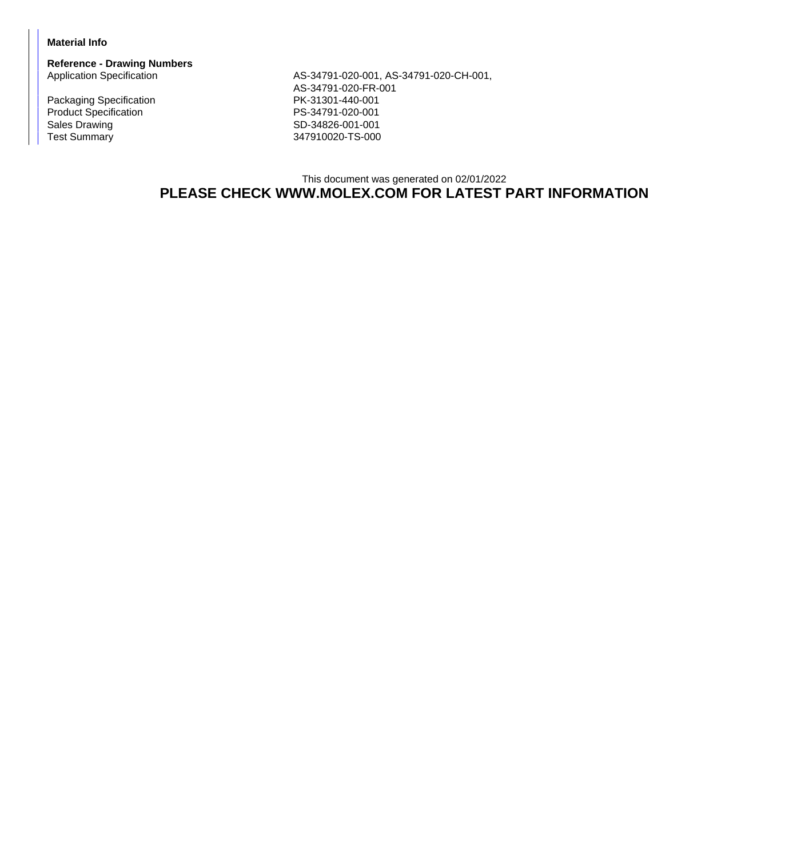## **Material Info**

**Reference - Drawing Numbers**

Packaging Specification **PK-31301-440-001** Product Specification<br>
Sales Drawing<br>
Sales Drawing<br>
PS-34826-001-001 Sales Drawing Sales Drawing SD-34826-001-001<br>Test Summary SD-34826-001-001

AS-34791-020-001, AS-34791-020-CH-001, AS-34791-020-FR-001 347910020-TS-000

## This document was generated on 02/01/2022 **PLEASE CHECK WWW.MOLEX.COM FOR LATEST PART INFORMATION**